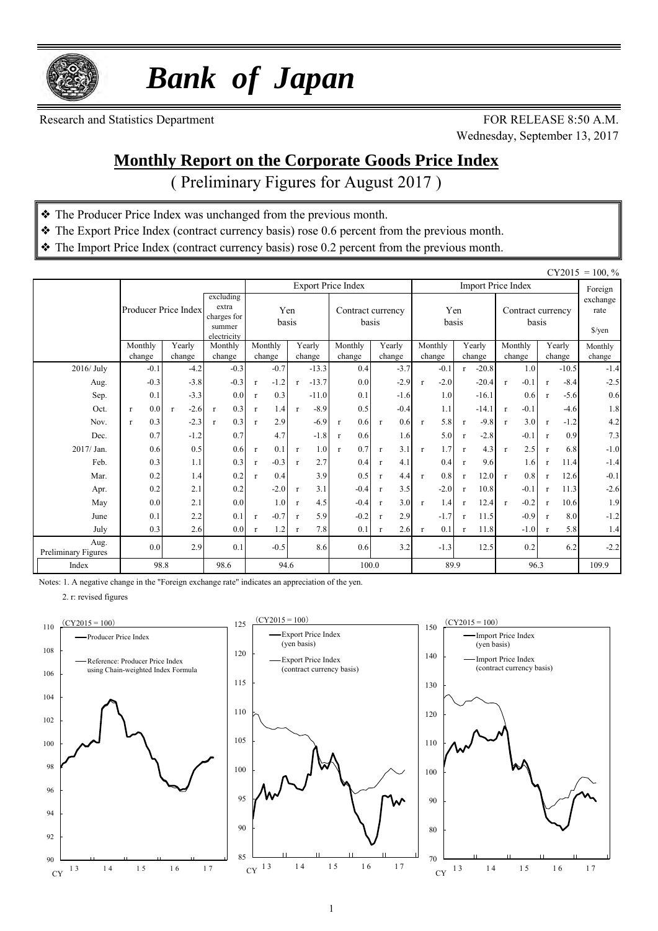

 *Bank of Japan*

Research and Statistics Department FOR RELEASE 8:50 A.M.

Wednesday, September 13, 2017

### **Monthly Report on the Corporate Goods Price Index**

( Preliminary Figures for August 2017 )

- ❖ The Producer Price Index was unchanged from the previous month.
- ❖ The Export Price Index (contract currency basis) rose 0.6 percent from the previous month.
- ❖ The Import Price Index (contract currency basis) rose 0.2 percent from the previous month.

|                             |                      |              |                                                            |              |         |              |         |                            |              |        |              |         |              |                           |                            |         |              |                                          | $CY2015 = 100, \%$ |
|-----------------------------|----------------------|--------------|------------------------------------------------------------|--------------|---------|--------------|---------|----------------------------|--------------|--------|--------------|---------|--------------|---------------------------|----------------------------|---------|--------------|------------------------------------------|--------------------|
|                             |                      |              |                                                            |              |         |              |         | <b>Export Price Index</b>  |              |        |              |         |              | <b>Import Price Index</b> |                            |         |              |                                          | Foreign            |
|                             | Producer Price Index |              | excluding<br>extra<br>charges for<br>summer<br>electricity | Yen<br>basis |         |              |         | Contract currency<br>basis |              |        | Yen<br>basis |         |              |                           | Contract currency<br>basis |         |              | exchange<br>rate<br>$\frac{\sqrt{2}}{2}$ |                    |
|                             | Monthly              | Yearly       | Monthly                                                    |              | Monthly |              | Yearly  | Monthly                    |              | Yearly |              | Monthly |              | Yearly                    |                            | Monthly |              | Yearly                                   | Monthly            |
|                             | change               | change       | change                                                     |              | change  |              | change  | change                     |              | change |              | change  |              | change                    |                            | change  |              | change                                   | change             |
| 2016/ July                  | $-0.1$               | $-4.2$       | $-0.3$                                                     |              | $-0.7$  |              | $-13.3$ | 0.4                        |              | $-3.7$ |              | $-0.1$  |              | $-20.8$                   |                            | 1.0     |              | $-10.5$                                  | $-1.4$             |
| Aug.                        | $-0.3$               | $-3.8$       | $-0.3$                                                     | $\mathbf{r}$ | $-1.2$  | $\mathbf{r}$ | $-13.7$ | 0.0                        |              | $-2.9$ | $\mathbf{r}$ | $-2.0$  |              | $-20.4$                   | $\mathbf{r}$               | $-0.1$  | $\mathbf{r}$ | $-8.4$                                   | $-2.5$             |
| Sep.                        | 0.1                  | $-3.3$       | 0.0                                                        | $\mathbf{r}$ | 0.3     |              | $-11.0$ | 0.1                        |              | $-1.6$ |              | 1.0     |              | $-16.1$                   |                            | 0.6     | $\mathbf{r}$ | $-5.6$                                   | 0.6                |
| Oct.                        | 0.0<br>$\mathbf{r}$  | $-2.6$<br>-r | 0.3<br>$\mathbf{r}$                                        | $\mathbf{r}$ | 1.4     | $\mathbf{r}$ | $-8.9$  | 0.5                        |              | $-0.4$ |              | 1.1     |              | $-14.1$                   | $\mathbf{r}$               | $-0.1$  |              | $-4.6$                                   | 1.8                |
| Nov.                        | 0.3<br>$\mathbf{r}$  | $-2.3$       | 0.3<br>$\mathbf{r}$                                        | $\mathbf{r}$ | 2.9     |              | $-6.9$  | 0.6<br>$\mathbf r$         | $\mathbf{r}$ | 0.6    | $\mathbf{r}$ | 5.8     | $\mathbf{r}$ | $-9.8$                    | $\mathbf{r}$               | 3.0     | $\mathbf{r}$ | $-1.2$                                   | 4.2                |
| Dec.                        | 0.7                  | $-1.2$       | 0.7                                                        |              | 4.7     |              | $-1.8$  | 0.6<br>$\mathbf{r}$        |              | 1.6    |              | 5.0     |              | $-2.8$                    |                            | $-0.1$  | $\mathbf{r}$ | 0.9                                      | 7.3                |
| 2017/ Jan.                  | 0.6                  | 0.5          | 0.6                                                        | $\mathbf{r}$ | 0.1     | $\mathbf{r}$ | 1.0     | 0.7<br>$\mathbf{r}$        | $\mathbf{r}$ | 3.1    | $\mathbf{r}$ | 1.7     | $\mathbf{r}$ | 4.3                       | $\mathbf{r}$               | 2.5     | $\mathbf{r}$ | 6.8                                      | $-1.0$             |
| Feb.                        | 0.3                  | 1.1          | 0.3                                                        | $\mathbf{r}$ | $-0.3$  | $\mathbf{r}$ | 2.7     | 0.4                        | $\mathbf{r}$ | 4.1    |              | 0.4     | $\mathbf{r}$ | 9.6                       |                            | 1.6     | $\mathbf{r}$ | 11.4                                     | $-1.4$             |
| Mar.                        | 0.2                  | 1.4          | 0.2                                                        | $\mathbf{r}$ | 0.4     |              | 3.9     | 0.5                        | $\mathbf{r}$ | 4.4    | $\mathbf{r}$ | 0.8     | $\mathbf{r}$ | 12.0                      | $\mathbf{r}$               | 0.8     | $\mathbf{r}$ | 12.6                                     | $-0.1$             |
| Apr.                        | 0.2                  | 2.1          | 0.2                                                        |              | $-2.0$  | $\mathbf{r}$ | 3.1     | $-0.4$                     | $\mathbf{r}$ | 3.5    |              | $-2.0$  | $\mathbf{r}$ | 10.8                      |                            | $-0.1$  | $\mathbf{r}$ | 11.3                                     | $-2.6$             |
| May                         | 0.0                  | 2.1          | 0.0                                                        |              | 1.0     | $\mathbf{r}$ | 4.5     | $-0.4$                     | $\mathbf{r}$ | 3.0    | $\mathbf{r}$ | 1.4     | $\mathbf{r}$ | 12.4                      | $\mathbf{r}$               | $-0.2$  | $\mathbf{r}$ | 10.6                                     | 1.9                |
| June                        | 0.1                  | 2.2          | 0.1                                                        | $\mathbf{r}$ | $-0.7$  | $\mathbf{r}$ | 5.9     | $-0.2$                     | $\mathbf{r}$ | 2.9    |              | $-1.7$  | $\mathbf{r}$ | 11.5                      |                            | $-0.9$  | $\mathbf{r}$ | 8.0                                      | $-1.2$             |
| July                        | 0.3                  | 2.6          | 0.0                                                        | $\mathbf{r}$ | 1.2     | $\mathbf{r}$ | 7.8     | 0.1                        | $\mathbf{r}$ | 2.6    | $\mathbf{r}$ | 0.1     |              | 11.8                      |                            | $-1.0$  | $\mathbf{r}$ | 5.8                                      | 1.4                |
| Aug.<br>Preliminary Figures | 0.0                  | 2.9          | 0.1                                                        |              | $-0.5$  |              | 8.6     | 0.6                        |              | 3.2    |              | $-1.3$  |              | 12.5                      |                            | 0.2     |              | 6.2                                      | $-2.2$             |
| Index                       | 98.8                 |              | 98.6                                                       |              | 94.6    |              |         |                            | 100.0        |        |              | 89.9    |              |                           |                            | 96.3    |              |                                          | 109.9              |

Notes: 1. A negative change in the "Foreign exchange rate" indicates an appreciation of the yen.

2. r: revised figures





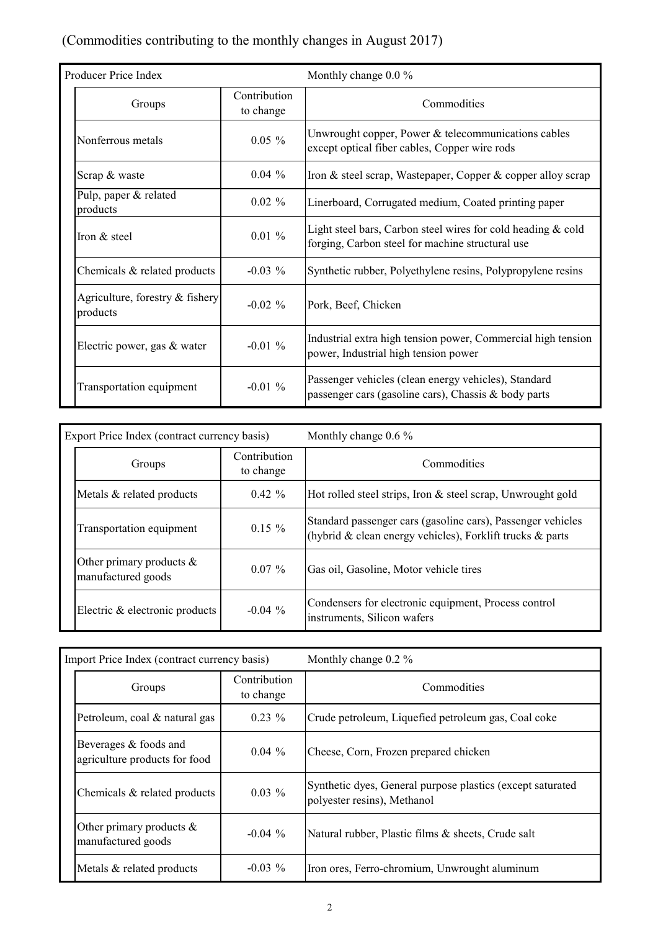## (Commodities contributing to the monthly changes in August 2017)

| Producer Price Index                        |                           | Monthly change 0.0 %                                                                                               |  |  |  |  |  |  |  |
|---------------------------------------------|---------------------------|--------------------------------------------------------------------------------------------------------------------|--|--|--|--|--|--|--|
| Groups                                      | Contribution<br>to change | Commodities                                                                                                        |  |  |  |  |  |  |  |
| Nonferrous metals                           | $0.05 \%$                 | Unwrought copper, Power & telecommunications cables<br>except optical fiber cables, Copper wire rods               |  |  |  |  |  |  |  |
| Scrap & waste                               | $0.04\%$                  | Iron & steel scrap, Wastepaper, Copper & copper alloy scrap                                                        |  |  |  |  |  |  |  |
| Pulp, paper & related<br>products           | $0.02 \%$                 | Linerboard, Corrugated medium, Coated printing paper                                                               |  |  |  |  |  |  |  |
| Iron & steel                                | $0.01 \%$                 | Light steel bars, Carbon steel wires for cold heading $&$ cold<br>forging, Carbon steel for machine structural use |  |  |  |  |  |  |  |
| Chemicals & related products                | $-0.03\%$                 | Synthetic rubber, Polyethylene resins, Polypropylene resins                                                        |  |  |  |  |  |  |  |
| Agriculture, forestry & fishery<br>products | $-0.02\%$                 | Pork, Beef, Chicken                                                                                                |  |  |  |  |  |  |  |
| Electric power, gas & water                 | $-0.01\%$                 | Industrial extra high tension power, Commercial high tension<br>power, Industrial high tension power               |  |  |  |  |  |  |  |
| Transportation equipment                    | $-0.01\%$                 | Passenger vehicles (clean energy vehicles), Standard<br>passenger cars (gasoline cars), Chassis & body parts       |  |  |  |  |  |  |  |

| Export Price Index (contract currency basis)      |                           | Monthly change $0.6\%$                                                                                                         |  |  |  |  |  |  |
|---------------------------------------------------|---------------------------|--------------------------------------------------------------------------------------------------------------------------------|--|--|--|--|--|--|
| Groups                                            | Contribution<br>to change | Commodities                                                                                                                    |  |  |  |  |  |  |
| Metals & related products                         | $0.42 \%$                 | Hot rolled steel strips, Iron & steel scrap, Unwrought gold                                                                    |  |  |  |  |  |  |
| Transportation equipment                          | $0.15 \%$                 | Standard passenger cars (gasoline cars), Passenger vehicles<br>(hybrid $\&$ clean energy vehicles), Forklift trucks $\&$ parts |  |  |  |  |  |  |
| Other primary products $\&$<br>manufactured goods | $0.07\%$                  | Gas oil, Gasoline, Motor vehicle tires                                                                                         |  |  |  |  |  |  |
| Electric & electronic products                    | $-0.04\%$                 | Condensers for electronic equipment, Process control<br>instruments, Silicon wafers                                            |  |  |  |  |  |  |

| Import Price Index (contract currency basis)           |                           | Monthly change $0.2\%$                                                                    |
|--------------------------------------------------------|---------------------------|-------------------------------------------------------------------------------------------|
| Groups                                                 | Contribution<br>to change | Commodities                                                                               |
| Petroleum, coal & natural gas                          | $0.23\%$                  | Crude petroleum, Liquefied petroleum gas, Coal coke                                       |
| Beverages & foods and<br>agriculture products for food | $0.04\%$                  | Cheese, Corn, Frozen prepared chicken                                                     |
| Chemicals & related products                           | $0.03\%$                  | Synthetic dyes, General purpose plastics (except saturated<br>polyester resins), Methanol |
| Other primary products $\&$<br>manufactured goods      | $-0.04\%$                 | Natural rubber, Plastic films & sheets, Crude salt                                        |
| Metals & related products                              | $-0.03\%$                 | Iron ores, Ferro-chromium, Unwrought aluminum                                             |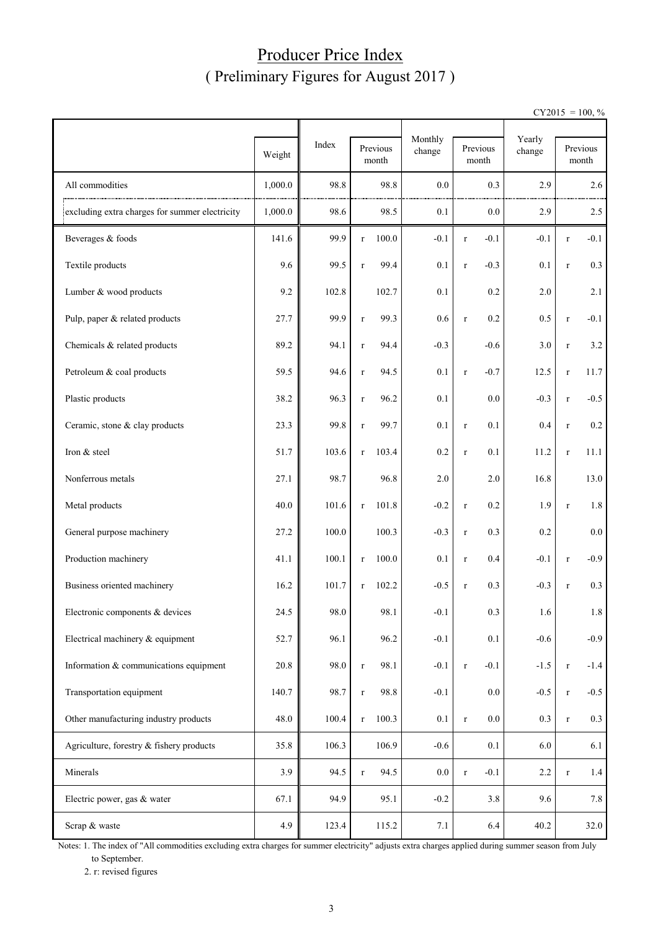## Producer Price Index ( Preliminary Figures for August 2017 )

 $CY2015 = 100, \%$ 

|                                                | Weight  | Index | Previous<br>month    | Monthly<br>change | Previous<br>month      | Yearly<br>change | Previous<br>month      |
|------------------------------------------------|---------|-------|----------------------|-------------------|------------------------|------------------|------------------------|
| All commodities                                | 1,000.0 | 98.8  | 98.8                 | 0.0               | 0.3                    | 2.9              | 2.6                    |
| excluding extra charges for summer electricity | 1,000.0 | 98.6  | 98.5                 | 0.1               | 0.0                    | 2.9              | 2.5                    |
| Beverages & foods                              | 141.6   | 99.9  | 100.0<br>$\mathbf r$ | $-0.1$            | $-0.1$<br>$\mathbf r$  | $-0.1$           | $-0.1$<br>$\mathbf r$  |
| Textile products                               | 9.6     | 99.5  | 99.4<br>$\mathbf r$  | 0.1               | $-0.3$<br>$\mathbf r$  | 0.1              | 0.3<br>$\mathbf r$     |
| Lumber & wood products                         | 9.2     | 102.8 | 102.7                | 0.1               | 0.2                    | 2.0              | 2.1                    |
| Pulp, paper & related products                 | 27.7    | 99.9  | 99.3<br>$\mathbf r$  | 0.6               | 0.2<br>$\mathbf r$     | 0.5              | $-0.1$<br>$\mathbf r$  |
| Chemicals & related products                   | 89.2    | 94.1  | 94.4<br>$\mathbf r$  | $-0.3$            | $-0.6$                 | 3.0              | 3.2<br>$\mathbf r$     |
| Petroleum & coal products                      | 59.5    | 94.6  | 94.5<br>$\mathbf r$  | 0.1               | $-0.7$<br>$\mathbf r$  | 12.5             | 11.7<br>$\mathbf r$    |
| Plastic products                               | 38.2    | 96.3  | 96.2<br>$\mathbf r$  | 0.1               | 0.0                    | $-0.3$           | $-0.5$<br>$\mathbf r$  |
| Ceramic, stone & clay products                 | 23.3    | 99.8  | 99.7<br>$\mathbf r$  | 0.1               | 0.1<br>$\mathbf r$     | 0.4              | $0.2\,$<br>$\mathbf r$ |
| Iron & steel                                   | 51.7    | 103.6 | 103.4<br>$\mathbf r$ | 0.2               | 0.1<br>$\mathbf r$     | 11.2             | 11.1<br>$\mathbf r$    |
| Nonferrous metals                              | 27.1    | 98.7  | 96.8                 | 2.0               | 2.0                    | 16.8             | 13.0                   |
| Metal products                                 | 40.0    | 101.6 | 101.8<br>$\mathbf r$ | $-0.2$            | 0.2<br>$\mathbf r$     | 1.9              | $1.8\,$<br>$\mathbf r$ |
| General purpose machinery                      | 27.2    | 100.0 | 100.3                | $-0.3$            | 0.3<br>$\mathbf r$     | 0.2              | $0.0\,$                |
| Production machinery                           | 41.1    | 100.1 | 100.0<br>$\mathbf r$ | 0.1               | 0.4<br>$\mathbf r$     | $-0.1$           | $-0.9$<br>$\mathbf r$  |
| Business oriented machinery                    | 16.2    | 101.7 | 102.2<br>$\mathbf r$ | $-0.5$            | 0.3<br>$\mathbf r$     | $-0.3$           | 0.3<br>$\mathbf r$     |
| Electronic components & devices                | 24.5    | 98.0  | 98.1                 | $-0.1$            | 0.3                    | 1.6              | 1.8                    |
| Electrical machinery & equipment               | 52.7    | 96.1  | 96.2                 | $-0.1$            | 0.1                    | $-0.6$           | $-0.9$                 |
| Information & communications equipment         | 20.8    | 98.0  | 98.1<br>$\mathbf r$  | $-0.1$            | $-0.1$<br>$\mathbf r$  | $-1.5$           | $-1.4$<br>$\mathbf r$  |
| Transportation equipment                       | 140.7   | 98.7  | 98.8<br>$\mathbf r$  | $-0.1$            | 0.0                    | $-0.5$           | $-0.5$<br>$\mathbf r$  |
| Other manufacturing industry products          | 48.0    | 100.4 | 100.3<br>$\mathbf r$ | 0.1               | $0.0\,$<br>$\mathbf r$ | 0.3              | 0.3<br>$\mathbf r$     |
| Agriculture, forestry & fishery products       | 35.8    | 106.3 | 106.9                | $-0.6$            | $0.1\,$                | 6.0              | 6.1                    |
| Minerals                                       | 3.9     | 94.5  | 94.5<br>$\mathbf r$  | $0.0\,$           | $-0.1$<br>$\mathbf r$  | 2.2              | 1.4<br>$\mathbf r$     |
| Electric power, gas & water                    | 67.1    | 94.9  | 95.1                 | $-0.2$            | 3.8                    | 9.6              | 7.8                    |
| Scrap & waste                                  | 4.9     | 123.4 | 115.2                | 7.1               | 6.4                    | 40.2             | 32.0                   |

Notes: 1. The index of "All commodities excluding extra charges for summer electricity" adjusts extra charges applied during summer season from July to September.

2. r: revised figures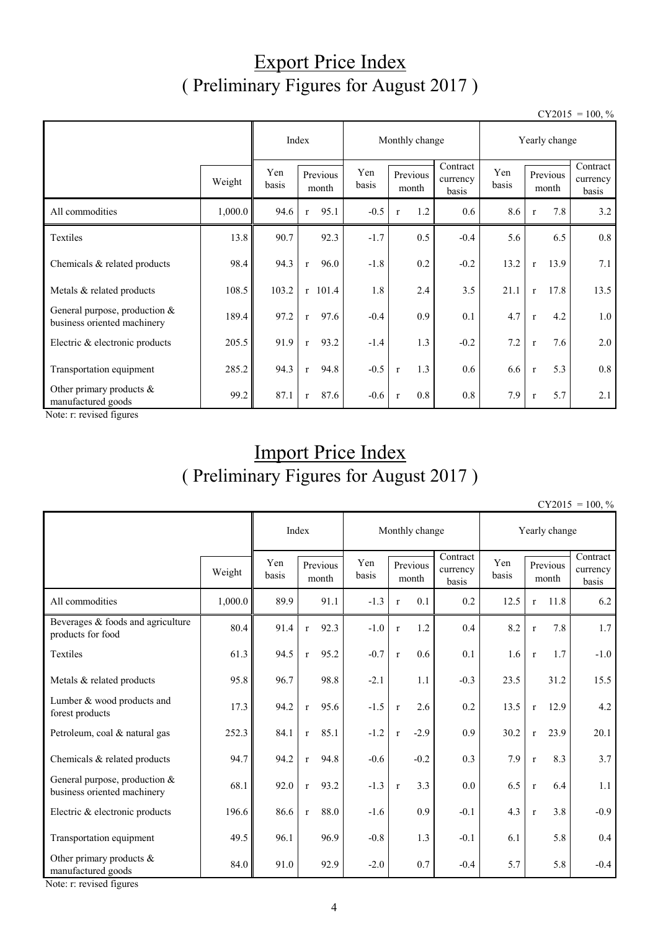## Export Price Index ( Preliminary Figures for August 2017 )

 $CY2015 = 100, \%$ 

|                                                                |         | Index        |                      | Monthly change |                     | Yearly change                 |              |                      |                               |
|----------------------------------------------------------------|---------|--------------|----------------------|----------------|---------------------|-------------------------------|--------------|----------------------|-------------------------------|
|                                                                | Weight  | Yen<br>basis | Previous<br>month    | Yen<br>basis   | Previous<br>month   | Contract<br>currency<br>basis | Yen<br>basis | Previous<br>month    | Contract<br>currency<br>basis |
| All commodities                                                | 1,000.0 | 94.6         | 95.1<br>$\mathbf{r}$ | $-0.5$         | 1.2<br>$\mathbf{r}$ | 0.6                           | 8.6          | 7.8<br>$\mathbf{r}$  | 3.2                           |
| Textiles                                                       | 13.8    | 90.7         | 92.3                 | $-1.7$         | 0.5                 | $-0.4$                        | 5.6          | 6.5                  | 0.8                           |
| Chemicals & related products                                   | 98.4    | 94.3         | 96.0<br>$\mathbf{r}$ | $-1.8$         | 0.2                 | $-0.2$                        | 13.2         | 13.9<br>$\mathbf{r}$ | 7.1                           |
| Metals & related products                                      | 108.5   | 103.2        | $r$ 101.4            | 1.8            | 2.4                 | 3.5                           | 21.1         | 17.8<br>$\mathbf{r}$ | 13.5                          |
| General purpose, production $&$<br>business oriented machinery | 189.4   | 97.2         | 97.6<br>$\mathbf{r}$ | $-0.4$         | 0.9                 | 0.1                           | 4.7          | 4.2<br>$\mathbf{r}$  | 1.0                           |
| Electric & electronic products                                 | 205.5   | 91.9         | 93.2<br>$\mathbf{r}$ | $-1.4$         | 1.3                 | $-0.2$                        | 7.2          | 7.6<br>$\mathbf{r}$  | 2.0                           |
| Transportation equipment                                       | 285.2   | 94.3         | 94.8<br>$\mathbf{r}$ | $-0.5$         | 1.3<br>$\mathbf{r}$ | 0.6                           | 6.6          | 5.3<br>$\mathbf{r}$  | 0.8                           |
| Other primary products $\&$<br>manufactured goods              | 99.2    | 87.1         | 87.6<br>$\mathbf{r}$ | $-0.6$         | 0.8<br>$\mathbf{r}$ | 0.8                           | 7.9          | 5.7<br>$\mathbf{r}$  | 2.1                           |

Note: r: revised figures

## Import Price Index ( Preliminary Figures for August 2017 )

 $CY2015 = 100$  %

|                                                                |         |              | Index                | Monthly change |                         |                               | Yearly change |              |                   |                               |
|----------------------------------------------------------------|---------|--------------|----------------------|----------------|-------------------------|-------------------------------|---------------|--------------|-------------------|-------------------------------|
|                                                                | Weight  | Yen<br>basis | Previous<br>month    | Yen<br>basis   | Previous<br>month       | Contract<br>currency<br>basis | Yen<br>basis  |              | Previous<br>month | Contract<br>currency<br>basis |
| All commodities                                                | 1,000.0 | 89.9         | 91.1                 | $-1.3$         | 0.1<br>$\mathbf{r}$     | 0.2                           | 12.5          | $\mathbf{r}$ | 11.8              | 6.2                           |
| Beverages & foods and agriculture<br>products for food         | 80.4    | 91.4         | 92.3<br>$\mathbf{r}$ | $-1.0$         | $1.2\,$<br>$\mathbf{r}$ | 0.4                           | 8.2           | $\mathbf{r}$ | 7.8               | 1.7                           |
| Textiles                                                       | 61.3    | 94.5         | 95.2<br>$\mathbf{r}$ | $-0.7$         | 0.6<br>$\mathbf{r}$     | 0.1                           | 1.6           | $\mathbf r$  | 1.7               | $-1.0$                        |
| Metals & related products                                      | 95.8    | 96.7         | 98.8                 | $-2.1$         | 1.1                     | $-0.3$                        | 23.5          |              | 31.2              | 15.5                          |
| Lumber & wood products and<br>forest products                  | 17.3    | 94.2         | 95.6<br>$\mathbf{r}$ | $-1.5$         | 2.6<br>$\mathbf{r}$     | 0.2                           | 13.5          | $\mathbf{r}$ | 12.9              | 4.2                           |
| Petroleum, coal & natural gas                                  | 252.3   | 84.1         | 85.1<br>$\mathbf{r}$ | $-1.2$         | $-2.9$<br>$\mathbf{r}$  | 0.9                           | 30.2          | $\mathbf{r}$ | 23.9              | 20.1                          |
| Chemicals & related products                                   | 94.7    | 94.2         | 94.8<br>$\mathbf{r}$ | $-0.6$         | $-0.2$                  | 0.3                           | 7.9           | $\mathbf{r}$ | 8.3               | 3.7                           |
| General purpose, production $&$<br>business oriented machinery | 68.1    | 92.0         | 93.2<br>$\mathbf{r}$ | $-1.3$         | 3.3<br>$\mathbf{r}$     | 0.0                           | 6.5           | $\mathbf r$  | 6.4               | 1.1                           |
| Electric & electronic products                                 | 196.6   | 86.6         | 88.0<br>$\mathbf{r}$ | $-1.6$         | 0.9                     | $-0.1$                        | 4.3           | $\mathbf r$  | 3.8               | $-0.9$                        |
| Transportation equipment                                       | 49.5    | 96.1         | 96.9                 | $-0.8$         | 1.3                     | $-0.1$                        | 6.1           |              | 5.8               | 0.4                           |
| Other primary products $\&$<br>manufactured goods              | 84.0    | 91.0         | 92.9                 | $-2.0$         | 0.7                     | $-0.4$                        | 5.7           |              | 5.8               | $-0.4$                        |

Note: r: revised figures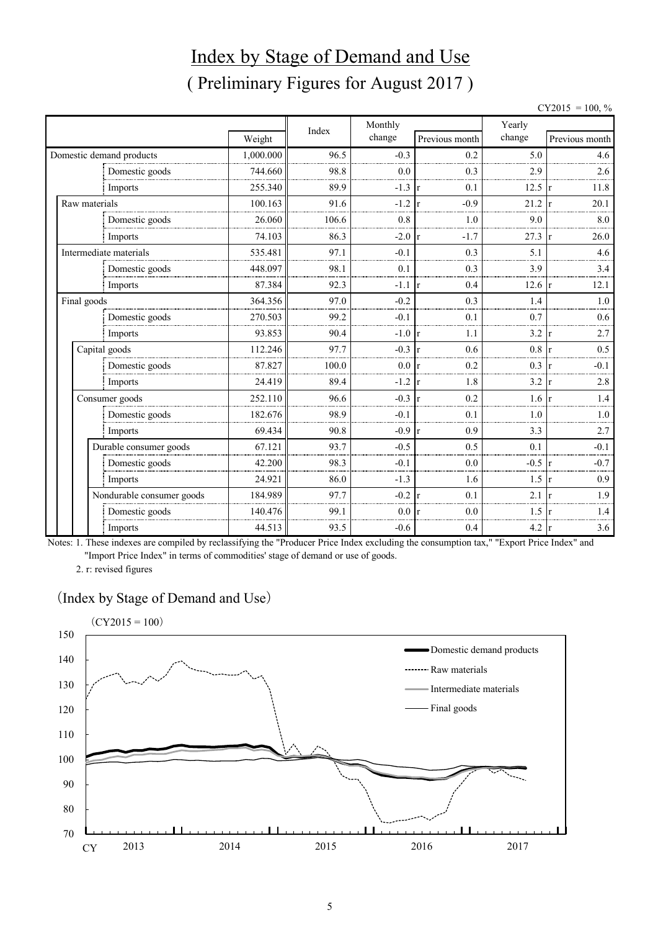# Index by Stage of Demand and Use ( Preliminary Figures for August 2017 )

 $CY2015 = 100, \%$ 

|               |                           |           |       | Monthly          |                        | Yearly |                |
|---------------|---------------------------|-----------|-------|------------------|------------------------|--------|----------------|
|               |                           | Weight    | Index | change           | Previous month         | change | Previous month |
|               | Domestic demand products  | 1,000.000 | 96.5  | $-0.3$           | 0.2                    | 5.0    | 4.6            |
|               | Domestic goods            | 744.660   | 98.8  | 0.0              | 0.3                    | 2.9    | 2.6            |
|               | Imports                   | 255.340   | 89.9  | $-1.3$           | 0.1<br>r               | 12.5   | 11.8           |
| Raw materials |                           | 100.163   | 91.6  | $-1.2$           | $-0.9$<br>$\mathbf{r}$ | 21.2   | 20.1           |
|               | Domestic goods            | 26.060    | 106.6 | 0.8              | 1.0                    | 9.0    | 8.0            |
|               | Imports                   | 74.103    | 86.3  | $-2.0 \text{ r}$ | $-1.7$                 | 27.3   | 26.0           |
|               | Intermediate materials    | 535.481   | 97.1  | $-0.1$           | 0.3                    | 5.1    | 4.6            |
|               | Domestic goods            | 448.097   | 98.1  | 0.1              | 0.3                    | 3.9    | 3.4            |
|               | Imports                   | 87.384    | 92.3  | $-1.1$           | 0.4<br>r               | 12.6   | 12.1           |
| Final goods   |                           | 364.356   | 97.0  | $-0.2$           | 0.3                    | 1.4    | 1.0            |
|               | Domestic goods            | 270.503   | 99.2  | $-0.1$           | 0.1                    | 0.7    | 0.6            |
|               | Imports                   | 93.853    | 90.4  | $-1.0 \text{ r}$ | 1.1                    | 3.2    | 2.7            |
|               | Capital goods             | 112.246   | 97.7  | $-0.3$           | 0.6<br>$\mathbf{r}$    | 0.8    | 0.5            |
|               | Domestic goods            | 87.827    | 100.0 | 0.0              | 0.2<br>$\mathbf{r}$    | 0.3    | $-0.1$         |
|               | Imports                   | 24.419    | 89.4  | $-1.2$           | 1.8<br>$\mathbf{r}$    | 3.2    | 2.8            |
|               | Consumer goods            | 252.110   | 96.6  | $-0.3$           | 0.2<br>r               | 1.6    | 1.4            |
|               | Domestic goods            | 182.676   | 98.9  | $-0.1$           | 0.1                    | 1.0    | 1.0            |
|               | Imports                   | 69.434    | 90.8  | $-0.9 r$         | 0.9                    | 3.3    | 2.7            |
|               | Durable consumer goods    | 67.121    | 93.7  | $-0.5$           | 0.5                    | 0.1    | $-0.1$         |
|               | Domestic goods            | 42.200    | 98.3  | $-0.1$           | 0.0                    | $-0.5$ | $-0.7$         |
|               | Imports                   | 24.921    | 86.0  | $-1.3$           | 1.6                    | 1.5    | 0.9            |
|               | Nondurable consumer goods | 184.989   | 97.7  | $-0.2$           | 0.1<br>$\mathbf{r}$    | 2.1    | 1.9            |
|               | Domestic goods            | 140.476   | 99.1  | 0.0              | 0.0                    | 1.5    | 1.4            |
|               | Imports                   | 44.513    | 93.5  | $-0.6$           | 0.4                    | 4.2    | 3.6            |

Notes: 1. These indexes are compiled by reclassifying the "Producer Price Index excluding the consumption tax," "Export Price Index" and "Import Price Index" in terms of commodities' stage of demand or use of goods.

2. r: revised figures

#### (Index by Stage of Demand and Use)

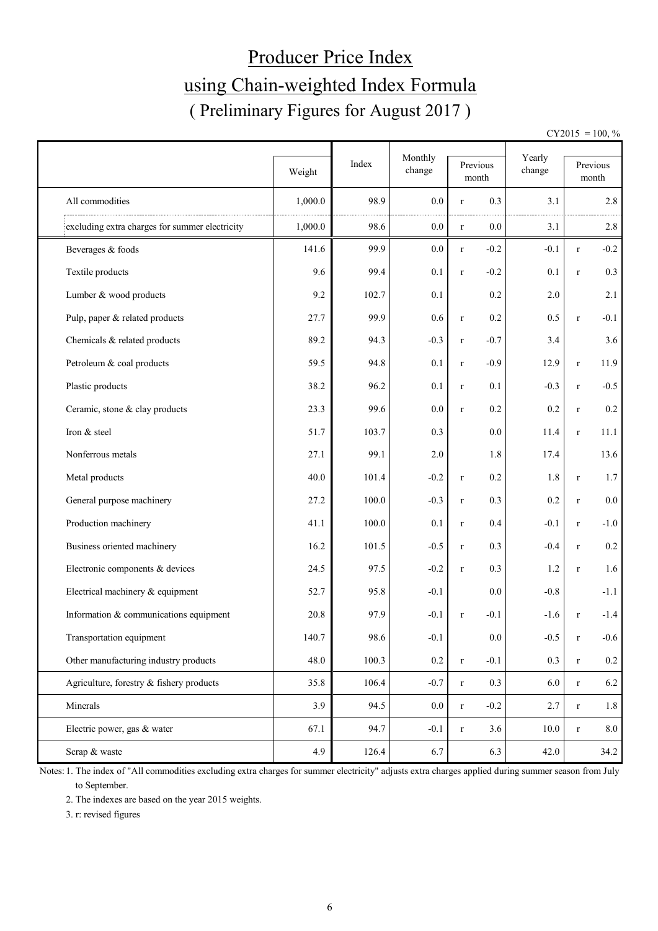# Producer Price Index using Chain-weighted Index Formula ( Preliminary Figures for August 2017 )

 $CY2015 = 100, \%$ 

|                                                | Weight  | Index | Monthly<br>change | Previous<br>month |         | Yearly<br>change |              | Previous<br>month |
|------------------------------------------------|---------|-------|-------------------|-------------------|---------|------------------|--------------|-------------------|
| All commodities                                | 1,000.0 | 98.9  | 0.0               | $\mathbf r$       | 0.3     | 3.1              |              | 2.8               |
| excluding extra charges for summer electricity | 1,000.0 | 98.6  | 0.0               | $\mathbf r$       | $0.0\,$ | 3.1              |              | 2.8               |
| Beverages & foods                              | 141.6   | 99.9  | 0.0               | $\mathbf r$       | $-0.2$  | $-0.1$           | $r_{\rm}$    | $-0.2$            |
| Textile products                               | 9.6     | 99.4  | 0.1               | $\mathbf r$       | $-0.2$  | 0.1              | $\mathbf r$  | 0.3               |
| Lumber & wood products                         | 9.2     | 102.7 | 0.1               |                   | 0.2     | 2.0              |              | 2.1               |
| Pulp, paper & related products                 | 27.7    | 99.9  | 0.6               | $\mathbf r$       | 0.2     | 0.5              | $\mathbf r$  | $-0.1$            |
| Chemicals & related products                   | 89.2    | 94.3  | $-0.3$            | $\mathbf r$       | $-0.7$  | 3.4              |              | 3.6               |
| Petroleum & coal products                      | 59.5    | 94.8  | 0.1               | $\mathbf r$       | $-0.9$  | 12.9             | $\mathbf r$  | 11.9              |
| Plastic products                               | 38.2    | 96.2  | 0.1               | $\mathbf r$       | 0.1     | $-0.3$           | $\mathbf r$  | $-0.5$            |
| Ceramic, stone & clay products                 | 23.3    | 99.6  | 0.0               | $\mathbf r$       | 0.2     | 0.2              | $\mathbf r$  | $0.2\,$           |
| Iron & steel                                   | 51.7    | 103.7 | 0.3               |                   | 0.0     | 11.4             | $\mathbf r$  | 11.1              |
| Nonferrous metals                              | 27.1    | 99.1  | $2.0\,$           |                   | 1.8     | 17.4             |              | 13.6              |
| Metal products                                 | 40.0    | 101.4 | $-0.2$            | $\mathbf r$       | 0.2     | 1.8              | $\mathbf r$  | 1.7               |
| General purpose machinery                      | 27.2    | 100.0 | $-0.3$            | $\mathbf r$       | 0.3     | 0.2              | $\mathbf r$  | $0.0\,$           |
| Production machinery                           | 41.1    | 100.0 | 0.1               | $\mathbf r$       | 0.4     | $-0.1$           | $\mathbf r$  | $-1.0$            |
| Business oriented machinery                    | 16.2    | 101.5 | $-0.5$            | $\mathbf r$       | 0.3     | $-0.4$           | $\mathbf r$  | $0.2\,$           |
| Electronic components & devices                | 24.5    | 97.5  | $-0.2$            | $\mathbf r$       | 0.3     | 1.2              | $\mathbf{r}$ | 1.6               |
| Electrical machinery & equipment               | 52.7    | 95.8  | $-0.1$            |                   | 0.0     | $-0.8$           |              | $-1.1$            |
| Information & communications equipment         | 20.8    | 97.9  | $-0.1$            | $\mathbf r$       | $-0.1$  | $-1.6$           | r            | $-1.4$            |
| Transportation equipment                       | 140.7   | 98.6  | $-0.1$            |                   | 0.0     | $-0.5$           | $\mathbf r$  | $-0.6$            |
| Other manufacturing industry products          | 48.0    | 100.3 | $0.2\,$           | $\mathbf r$       | $-0.1$  | 0.3              | $\mathbf r$  | $0.2\,$           |
| Agriculture, forestry & fishery products       | 35.8    | 106.4 | $-0.7$            | $\mathbf r$       | 0.3     | 6.0              | $\mathbf r$  | 6.2               |
| Minerals                                       | 3.9     | 94.5  | $0.0\,$           | $\mathbf r$       | $-0.2$  | 2.7              | $\mathbf r$  | $1.8\,$           |
| Electric power, gas & water                    | 67.1    | 94.7  | $-0.1$            | $\mathbf r$       | 3.6     | $10.0$           | $\mathbf r$  | $8.0\,$           |
| Scrap & waste                                  | 4.9     | 126.4 | 6.7               |                   | 6.3     | 42.0             |              | 34.2              |

Notes: 1. The index of "All commodities excluding extra charges for summer electricity" adjusts extra charges applied during summer season from July to September.

2. The indexes are based on the year 2015 weights.

3. r: revised figures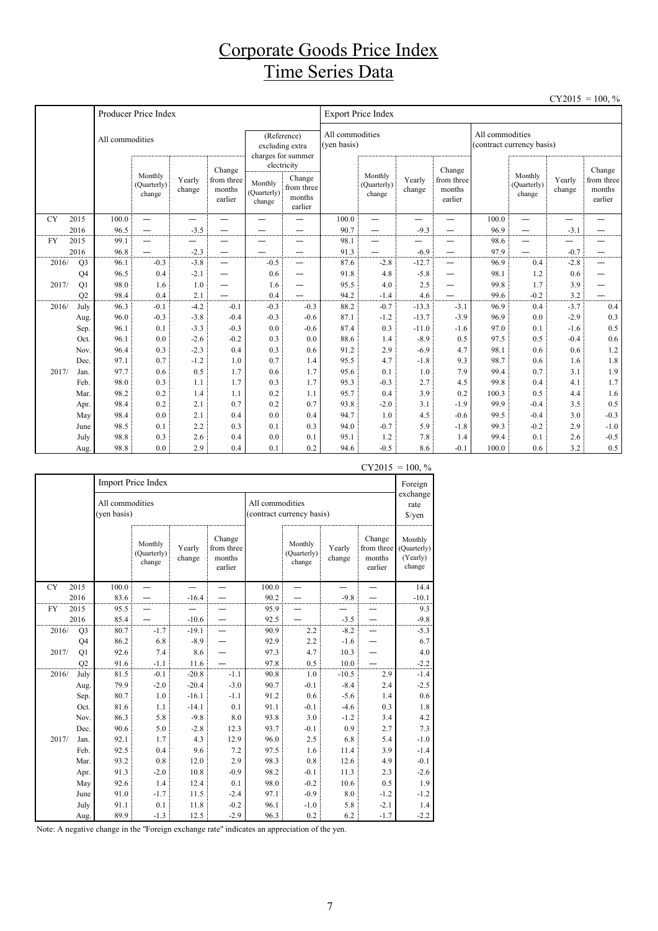## Corporate Goods Price Index Time Series Data

|           |                |                 |                                  |                  |                                           |                                  |                                                          |                                |                                  |                   |                                           |                                              |                                  |                          | $CY2015 = 100, \%$                        |
|-----------|----------------|-----------------|----------------------------------|------------------|-------------------------------------------|----------------------------------|----------------------------------------------------------|--------------------------------|----------------------------------|-------------------|-------------------------------------------|----------------------------------------------|----------------------------------|--------------------------|-------------------------------------------|
|           |                |                 | Producer Price Index             |                  |                                           |                                  |                                                          |                                | <b>Export Price Index</b>        |                   |                                           |                                              |                                  |                          |                                           |
|           |                | All commodities |                                  |                  |                                           |                                  | (Reference)<br>excluding extra<br>charges for summer     | All commodities<br>(ven basis) |                                  |                   |                                           | All commodities<br>(contract currency basis) |                                  |                          |                                           |
|           |                |                 | Monthly<br>(Quarterly)<br>change | Yearly<br>change | Change<br>from three<br>months<br>earlier | Monthly<br>(Quarterly)<br>change | electricity<br>Change<br>from three<br>months<br>earlier |                                | Monthly<br>(Quarterly)<br>change | Yearly<br>change  | Change<br>from three<br>months<br>earlier |                                              | Monthly<br>(Quarterly)<br>change | Yearly<br>change         | Change<br>from three<br>months<br>earlier |
| <b>CY</b> | 2015           | 100.0           | $\overline{\phantom{0}}$         | <u>. </u>        | —                                         | —                                | $\overline{\phantom{0}}$                                 | 100.0                          | $\overline{\phantom{0}}$         | —                 | —                                         | 100.0                                        | $\overline{\phantom{0}}$         | $\overline{\phantom{0}}$ | —                                         |
|           | 2016           | 96.5            | —                                | $-3.5$           |                                           |                                  |                                                          | 90.7                           |                                  | $-9.3$            |                                           | 96.9                                         | —                                | $-3.1$                   |                                           |
| <b>FY</b> | 2015           | 99.1            | $\overline{\phantom{0}}$         |                  |                                           |                                  |                                                          | 98.1                           | -                                |                   |                                           | 98.6                                         | —                                | $\overline{\phantom{0}}$ |                                           |
|           | 2016           | 96.8            | $\overline{\phantom{0}}$         | $-2.3$           | $\qquad \qquad$                           |                                  |                                                          | 91.3                           | -                                | $-6.9$            | —                                         | 97.9                                         | —                                | $-0.7$                   |                                           |
| 2016/     | Q <sub>3</sub> | 96.1            | $-0.3$                           | $-3.8$           | $\overline{\phantom{0}}$                  | $-0.5$                           |                                                          | 87.6                           | $-2.8$                           | $-12.7$           | —                                         | 96.9                                         | 0.4                              | $-2.8$                   |                                           |
|           | Q4             | 96.5            | 0.4                              | $-2.1$           |                                           | 0.6                              | $\overline{\phantom{0}}$                                 | 91.8                           | 4.8                              | $-5.8$            | —                                         | 98.1                                         | 1.2                              | 0.6                      |                                           |
| 2017/     | Q1             | 98.0            | 1.6                              | 1.0              | —                                         | 1.6                              |                                                          | 95.5                           | 4.0                              | 2.5               | —                                         | 99.8                                         | 1.7                              | 3.9                      |                                           |
|           | O2             | 98.4            | 0.4                              | 2.1              |                                           | 0.4                              |                                                          | 94.2                           | $-1.4$                           | 4.6               |                                           | 99.6                                         | $-0.2$                           | 3.2                      |                                           |
| 2016/     | July           | 96.3            | $-0.1$                           | $-4.2$           | $-0.1$                                    | $-0.3$                           | $-0.3$                                                   | 88.2                           | $-0.7$                           | $-13.3$           | $-3.1$                                    | 96.9                                         | 0.4                              | $-3.7$                   | 0.4                                       |
|           | Aug.           | 96.0            | $-0.3$                           | $-3.8$           | $-0.4$                                    | $-0.3$                           | $-0.6$                                                   | 87.1                           | $-1.2$                           | $-13.7$           | $-3.9$                                    | 96.9                                         | 0.0                              | $-2.9$                   | 0.3                                       |
|           | Sep.           | 96.1<br>96.1    | 0.1                              | $-3.3$<br>$-2.6$ | $-0.3$<br>$-0.2$                          | 0.0<br>0.3                       | $-0.6$<br>0.0                                            | 87.4<br>88.6                   | 0.3<br>1.4                       | $-11.0$<br>$-8.9$ | $-1.6$<br>0.5                             | 97.0<br>97.5                                 | 0.1<br>0.5                       | $-1.6$<br>$-0.4$         | 0.5<br>0.6                                |
|           | Oct.           | 96.4            | 0.0<br>0.3                       | $-2.3$           | 0.4                                       | 0.3                              | 0.6                                                      | 91.2                           | 2.9                              | $-6.9$            | 4.7                                       | 98.1                                         | 0.6                              | 0.6                      | 1.2                                       |
|           | Nov.<br>Dec.   | 97.1            | 0.7                              | $-1.2$           | 1.0                                       | 0.7                              | 1.4                                                      | 95.5                           | 4.7                              | $-1.8$            | 9.3                                       | 98.7                                         | 0.6                              | 1.6                      | 1.8                                       |
| 2017/     | Jan.           | 97.7            | 0.6                              | 0.5              | 1.7                                       | 0.6                              | 1.7                                                      | 95.6                           | 0.1                              | 1.0               | 7.9                                       | 99.4                                         | 0.7                              | 3.1                      | 1.9                                       |
|           | Feb.           | 98.0            | 0.3                              | 1.1              | 1.7                                       | 0.3                              | 1.7                                                      | 95.3                           | $-0.3$                           | 2.7               | 4.5                                       | 99.8                                         | 0.4                              | 4.1                      | 1.7                                       |
|           | Mar.           | 98.2            | 0.2                              | 1.4              | 1.1                                       | 0.2                              | 1.1                                                      | 95.7                           | 0.4                              | 3.9               | 0.2                                       | 100.3                                        | 0.5                              | 4.4                      | 1.6                                       |
|           | Apr.           | 98.4            | 0.2                              | 2.1              | 0.7                                       | 0.2                              | 0.7                                                      | 93.8                           | $-2.0$                           | 3.1               | $-1.9$                                    | 99.9                                         | $-0.4$                           | 3.5                      | 0.5                                       |
|           | May            | 98.4            | 0.0                              | 2.1              | 0.4                                       | 0.0                              | 0.4                                                      | 94.7                           | 1.0                              | 4.5               | $-0.6$                                    | 99.5                                         | $-0.4$                           | 3.0                      | $-0.3$                                    |
|           | June           | 98.5            | 0.1                              | 2.2              | 0.3                                       | 0.1                              | 0.3                                                      | 94.0                           | $-0.7$                           | 5.9               | $-1.8$                                    | 99.3                                         | $-0.2$                           | 2.9                      | $-1.0$                                    |
|           | July           | 98.8            | 0.3                              | 2.6              | 0.4                                       | 0.0                              | 0.1                                                      | 95.1                           | 1.2                              | 7.8               | 1.4                                       | 99.4                                         | 0.1                              | 2.6                      | $-0.5$                                    |
|           | Aug.           | 98.8            | 0.0                              | 2.9              | 0.4                                       | 0.1                              | 0.2                                                      | 94.6                           | $-0.5$                           | 8.6               | $-0.1$                                    | 100.0                                        | 0.6                              | 3.2                      | 0.5                                       |

|           |                |                                |                                  |                  |                                           |                 |                                  |                  | ر د ۱ مانه ب                              | 100, 70                                      |
|-----------|----------------|--------------------------------|----------------------------------|------------------|-------------------------------------------|-----------------|----------------------------------|------------------|-------------------------------------------|----------------------------------------------|
|           |                |                                | Import Price Index               |                  |                                           |                 |                                  |                  |                                           | Foreign                                      |
|           |                | All commodities<br>(ven basis) |                                  |                  |                                           | All commodities | (contract currency basis)        |                  |                                           | exchange<br>rate<br>$\sqrt{\frac{2}{\pi}}$   |
|           |                |                                | Monthly<br>(Quarterly)<br>change | Yearly<br>change | Change<br>from three<br>months<br>earlier |                 | Monthly<br>(Quarterly)<br>change | Yearly<br>change | Change<br>from three<br>months<br>earlier | Monthly<br>(Quarterly)<br>(Yearly)<br>change |
| <b>CY</b> | 2015           | 100.0                          |                                  |                  |                                           | 100.0           |                                  |                  |                                           | 14.4                                         |
|           | 2016           | 83.6                           |                                  | $-16.4$          |                                           | 90.2            |                                  | $-9.8$           |                                           | $-10.1$                                      |
| <b>FY</b> | 2015           | 95.5                           |                                  |                  |                                           | 95.9            |                                  |                  |                                           | 9.3                                          |
|           | 2016           | 85.4                           |                                  | $-10.6$          |                                           | 92.5            |                                  | $-3.5$           |                                           | $-9.8$                                       |
| 2016/     | Q <sub>3</sub> | 80.7                           | $-1.7$                           | $-19.1$          |                                           | 90.9            | 2.2                              | $-8.2$           |                                           | $-5.3$                                       |
|           | O <sub>4</sub> | 86.2                           | 6.8                              | $-8.9$           |                                           | 92.9            | 2.2                              | $-1.6$           |                                           | 6.7                                          |
| 2017/     | Q1             | 92.6                           | 7.4                              | 8.6              |                                           | 97.3            | 4.7                              | 10.3             |                                           | 4.0                                          |
|           | O2             | 91.6                           | $-1.1$                           | 11.6             |                                           | 97.8            | 0.5                              | 10.0             |                                           | $-2.2$                                       |
| 2016/     | July           | 81.5                           | $-0.1$                           | $-20.8$          | $-1.1$                                    | 90.8            | 1.0                              | $-10.5$          | 2.9                                       | $-1.4$                                       |
|           | Aug.           | 79.9                           | $-2.0$                           | $-20.4$          | $-3.0$                                    | 90.7            | $-0.1$                           | $-8.4$           | 2.4                                       | $-2.5$                                       |
|           | Sep.           | 80.7                           | 1.0                              | $-16.1$          | $-1.1$                                    | 91.2            | 0.6                              | $-5.6$           | 1.4                                       | 0.6                                          |
|           | Oct.           | 81.6                           | 1.1                              | $-14.1$          | 0.1                                       | 91.1            | $-0.1$                           | $-4.6$           | 0.3                                       | 1.8                                          |
|           | Nov.           | 86.3                           | 5.8                              | $-9.8$           | 8.0                                       | 93.8            | 3.0                              | $-1.2$           | 3.4                                       | 4.2                                          |
|           | Dec.           | 90.6                           | 5.0                              | $-2.8$           | 12.3                                      | 93.7            | $-0.1$                           | 0.9              | 2.7                                       | 7.3                                          |
| 2017/     | Jan.           | 92.1                           | 1.7                              | 4.3              | 12.9                                      | 96.0            | 2.5                              | 6.8              | 5.4                                       | $-1.0$                                       |
|           | Feb.           | 92.5                           | 0.4                              | 9.6              | 7.2                                       | 97.5            | 1.6                              | 11.4             | 3.9                                       | $-1.4$                                       |
|           | Mar.           | 93.2                           | 0.8                              | 12.0             | 2.9                                       | 98.3            | 0.8                              | 12.6             | 4.9                                       | $-0.1$                                       |
|           | Apr.           | 91.3                           | $-2.0$                           | 10.8             | $-0.9$                                    | 98.2            | $-0.1$                           | 11.3             | 2.3                                       | $-2.6$                                       |
|           | May            | 92.6                           | 1.4                              | 12.4             | 0.1                                       | 98.0            | $-0.2$                           | 10.6             | 0.5                                       | 1.9                                          |
|           | June           | 91.0                           | $-1.7$                           | 11.5             | $-2.4$                                    | 97.1            | $-0.9$                           | 8.0              | $-1.2$                                    | $-1.2$                                       |
|           | July           | 91.1                           | 0.1                              | 11.8             | $-0.2$                                    | 96.1            | $-1.0$                           | 5.8              | $-2.1$                                    | 1.4                                          |
|           | Aug.           | 89.9                           | $-1.3$                           | 12.5             | $-2.9$                                    | 96.3            | 0.2                              | 6.2              | $-1.7$                                    | $-2.2$                                       |

 $CY2015 = 100. %$ 

Note: A negative change in the "Foreign exchange rate" indicates an appreciation of the yen.

7